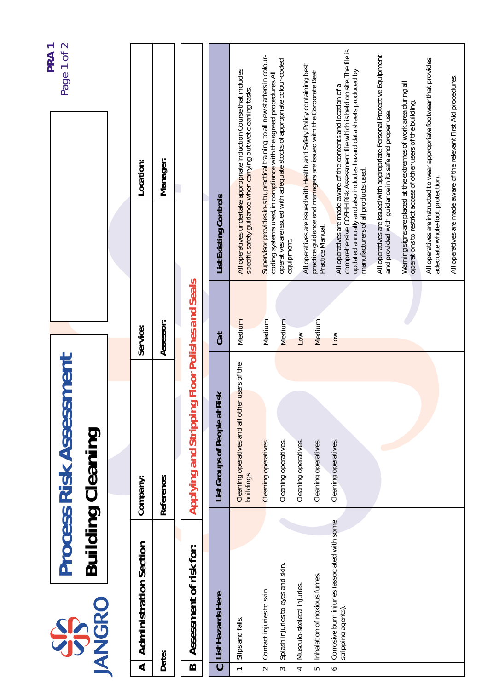| coding systems used, in compliance with the agreed procedures. All<br>manufacturers of all products used.<br>adequate whole-foot protection.<br>List Existing Controls<br>Practice Manual.<br>equipment.<br>Applying and Stripping Floor Polishes and Seals<br>Medium<br>Medium<br>Medium<br>Medium<br>Assessor:<br>Service:<br><b>Cat</b><br>Low<br>Low<br><b>Process Risk Assessment</b><br>Cleaning operatives and all other users of the<br>Risk<br>List Groups of People at<br><b>Building Cleaning</b><br>Cleaning operatives.<br>Cleaning operatives.<br>Cleaning operatives.<br>Cleaning operatives.<br>Cleaning operatives.<br>buildings.<br>Reference:<br>Company:<br>Corrosive burn injuries (associated with some<br><b>Administration Section</b><br>Assessment of risk for:<br>Splash injuries to eyes and skin.<br>Inhalation of noxious fumes.<br>Musculo-skeletal injuries<br>Contact injuries to skin.<br>List Hazards Here<br>ANGRO<br>stripping agents)<br>SSS<br>Slips and falls.<br>Date:<br>$\overline{\mathbf{A}}$<br>$\mathbf{\Omega}$<br>$\overline{\mathbf{C}}$<br>$\overline{a}$<br>$\bullet$<br>$\sim$<br>LO<br>3<br>4 |  |  |                                                                                                                                                                                                                     | PRA <sub>1</sub> |
|-----------------------------------------------------------------------------------------------------------------------------------------------------------------------------------------------------------------------------------------------------------------------------------------------------------------------------------------------------------------------------------------------------------------------------------------------------------------------------------------------------------------------------------------------------------------------------------------------------------------------------------------------------------------------------------------------------------------------------------------------------------------------------------------------------------------------------------------------------------------------------------------------------------------------------------------------------------------------------------------------------------------------------------------------------------------------------------------------------------------------------------------------------|--|--|---------------------------------------------------------------------------------------------------------------------------------------------------------------------------------------------------------------------|------------------|
|                                                                                                                                                                                                                                                                                                                                                                                                                                                                                                                                                                                                                                                                                                                                                                                                                                                                                                                                                                                                                                                                                                                                                     |  |  |                                                                                                                                                                                                                     | Page 1 of 2      |
|                                                                                                                                                                                                                                                                                                                                                                                                                                                                                                                                                                                                                                                                                                                                                                                                                                                                                                                                                                                                                                                                                                                                                     |  |  |                                                                                                                                                                                                                     |                  |
|                                                                                                                                                                                                                                                                                                                                                                                                                                                                                                                                                                                                                                                                                                                                                                                                                                                                                                                                                                                                                                                                                                                                                     |  |  | Location:                                                                                                                                                                                                           |                  |
|                                                                                                                                                                                                                                                                                                                                                                                                                                                                                                                                                                                                                                                                                                                                                                                                                                                                                                                                                                                                                                                                                                                                                     |  |  | Manager:                                                                                                                                                                                                            |                  |
|                                                                                                                                                                                                                                                                                                                                                                                                                                                                                                                                                                                                                                                                                                                                                                                                                                                                                                                                                                                                                                                                                                                                                     |  |  |                                                                                                                                                                                                                     |                  |
|                                                                                                                                                                                                                                                                                                                                                                                                                                                                                                                                                                                                                                                                                                                                                                                                                                                                                                                                                                                                                                                                                                                                                     |  |  |                                                                                                                                                                                                                     |                  |
|                                                                                                                                                                                                                                                                                                                                                                                                                                                                                                                                                                                                                                                                                                                                                                                                                                                                                                                                                                                                                                                                                                                                                     |  |  | All operatives undertake appropriate Induction Course that includes<br>specific safety guidance when carrying out wet cleaning tasks.                                                                               |                  |
|                                                                                                                                                                                                                                                                                                                                                                                                                                                                                                                                                                                                                                                                                                                                                                                                                                                                                                                                                                                                                                                                                                                                                     |  |  | Supervisor provides in-situ, practical training to all new starters in colour-                                                                                                                                      |                  |
|                                                                                                                                                                                                                                                                                                                                                                                                                                                                                                                                                                                                                                                                                                                                                                                                                                                                                                                                                                                                                                                                                                                                                     |  |  | operatives are issued with adequate stocks of appropriate colour-coded                                                                                                                                              |                  |
|                                                                                                                                                                                                                                                                                                                                                                                                                                                                                                                                                                                                                                                                                                                                                                                                                                                                                                                                                                                                                                                                                                                                                     |  |  | All operatives are issued with Health and Safety Policy containing best                                                                                                                                             |                  |
|                                                                                                                                                                                                                                                                                                                                                                                                                                                                                                                                                                                                                                                                                                                                                                                                                                                                                                                                                                                                                                                                                                                                                     |  |  | practice guidance and managers are issued with the Corporate Best                                                                                                                                                   |                  |
|                                                                                                                                                                                                                                                                                                                                                                                                                                                                                                                                                                                                                                                                                                                                                                                                                                                                                                                                                                                                                                                                                                                                                     |  |  | comprehensive COSHH Risk Assessment file which is held on site. The file is<br>updated annually and also includes hazard data sheets produced by<br>All operatives are made aware of the contents and location of a |                  |
|                                                                                                                                                                                                                                                                                                                                                                                                                                                                                                                                                                                                                                                                                                                                                                                                                                                                                                                                                                                                                                                                                                                                                     |  |  | All operatives are issued with appropriate Personal Protective Equipment<br>and provided with guidance in its safe and proper use.                                                                                  |                  |
|                                                                                                                                                                                                                                                                                                                                                                                                                                                                                                                                                                                                                                                                                                                                                                                                                                                                                                                                                                                                                                                                                                                                                     |  |  | Warning signs are placed at the extremes of work area during all<br>operations to restrict access of other users of the building.                                                                                   |                  |
|                                                                                                                                                                                                                                                                                                                                                                                                                                                                                                                                                                                                                                                                                                                                                                                                                                                                                                                                                                                                                                                                                                                                                     |  |  | All operatives are instructed to wear appropriate footwear that provides                                                                                                                                            |                  |
|                                                                                                                                                                                                                                                                                                                                                                                                                                                                                                                                                                                                                                                                                                                                                                                                                                                                                                                                                                                                                                                                                                                                                     |  |  | All operatives are made aware of the relevant First Aid procedures.                                                                                                                                                 |                  |